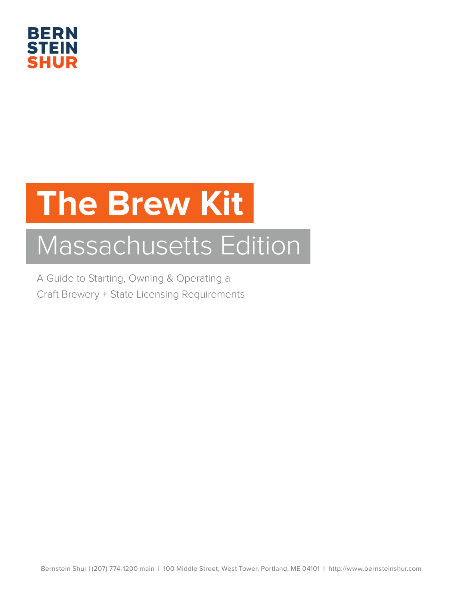

# **The Brew Kit**

## Massachusetts Edition

A Guide to Starting, Owning & Operating a Craft Brewery + State Licensing Requirements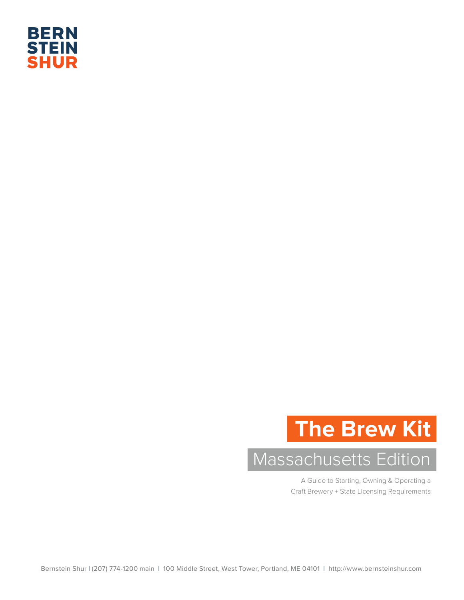

## **The Brew Kit**

## Massachusetts Edition

A Guide to Starting, Owning & Operating a Craft Brewery + State Licensing Requirements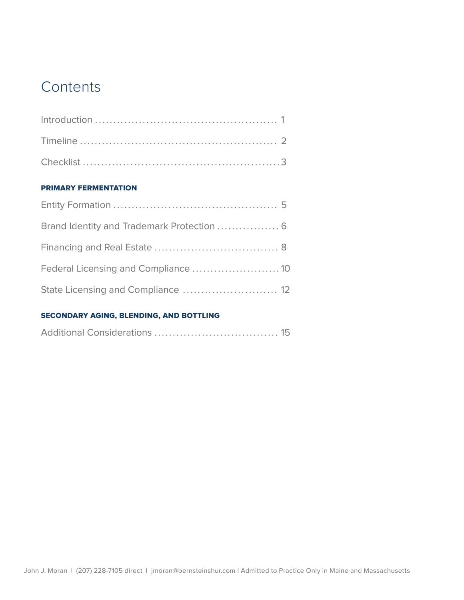## **Contents**

## PRIMARY FERMENTATION

| Brand Identity and Trademark Protection  6 |  |
|--------------------------------------------|--|
|                                            |  |
|                                            |  |
| State Licensing and Compliance  12         |  |

## SECONDARY AGING, BLENDING, AND BOTTLING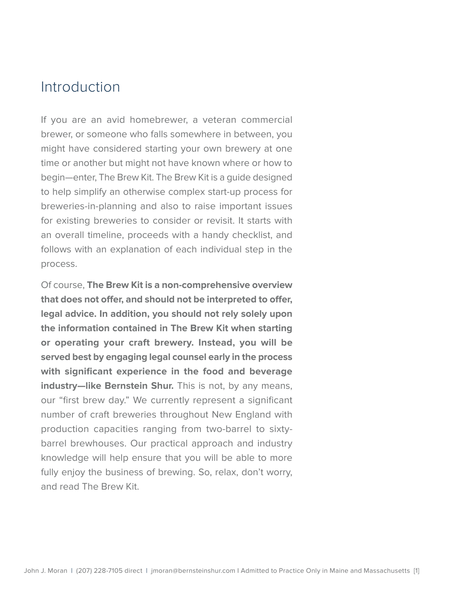## Introduction

If you are an avid homebrewer, a veteran commercial brewer, or someone who falls somewhere in between, you might have considered starting your own brewery at one time or another but might not have known where or how to begin—enter, The Brew Kit. The Brew Kit is a guide designed to help simplify an otherwise complex start-up process for breweries-in-planning and also to raise important issues for existing breweries to consider or revisit. It starts with an overall timeline, proceeds with a handy checklist, and follows with an explanation of each individual step in the process.

Of course, **The Brew Kit is a non-comprehensive overview that does not offer, and should not be interpreted to offer, legal advice. In addition, you should not rely solely upon the information contained in The Brew Kit when starting or operating your craft brewery. Instead, you will be served best by engaging legal counsel early in the process with significant experience in the food and beverage industry—like Bernstein Shur.** This is not, by any means, our "first brew day." We currently represent a significant number of craft breweries throughout New England with production capacities ranging from two-barrel to sixtybarrel brewhouses. Our practical approach and industry knowledge will help ensure that you will be able to more fully enjoy the business of brewing. So, relax, don't worry, and read The Brew Kit.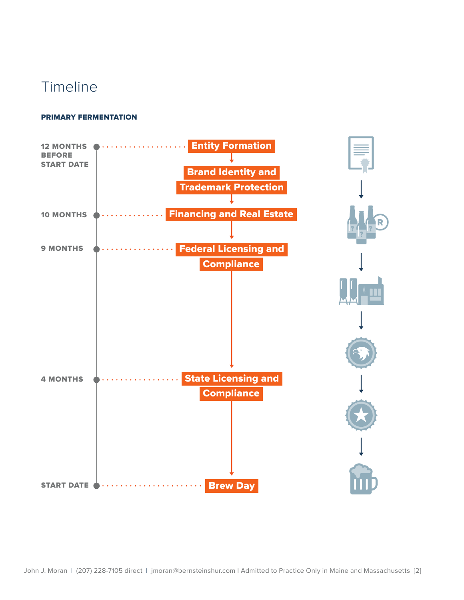## Timeline

## PRIMARY FERMENTATION

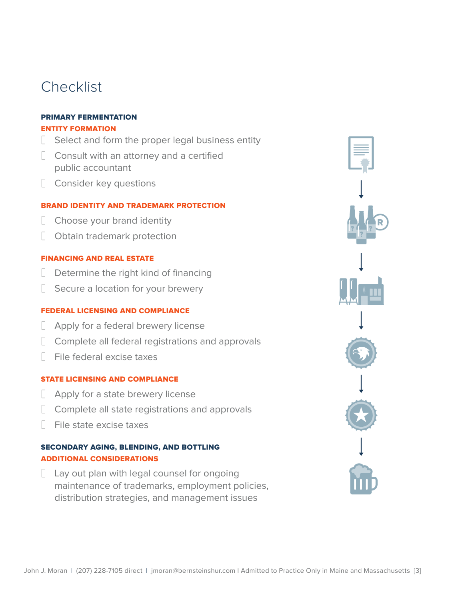## **Checklist**

## PRIMARY FERMENTATION

## ENTITY FORMATION

- □ Select and form the proper legal business entity
- **□** Consult with an attorney and a certified public accountant
- □ Consider key questions

## BRAND IDENTITY AND TRADEMARK PROTECTION

- □ Choose your brand identity
- □ Obtain trademark protection

## FINANCING AND REAL ESTATE

- **□** Determine the right kind of financing
- □ Secure a location for your brewery

## FEDERAL LICENSING AND COMPLIANCE

- ☐ Apply for a federal brewery license
- ☐ Complete all federal registrations and approvals
- ☐ File federal excise taxes

## STATE LICENSING AND COMPLIANCE

- □ Apply for a state brewery license
- **□** Complete all state registrations and approvals
- ☐ File state excise taxes

## SECONDARY AGING, BLENDING, AND BOTTLING ADDITIONAL CONSIDERATIONS

☐ Lay out plan with legal counsel for ongoing maintenance of trademarks, employment policies, distribution strategies, and management issues

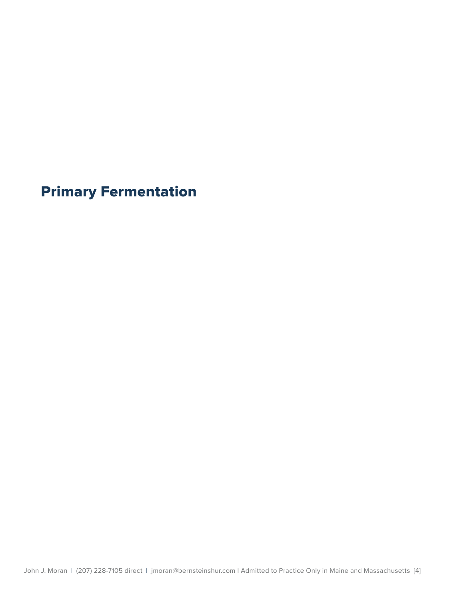Primary Fermentation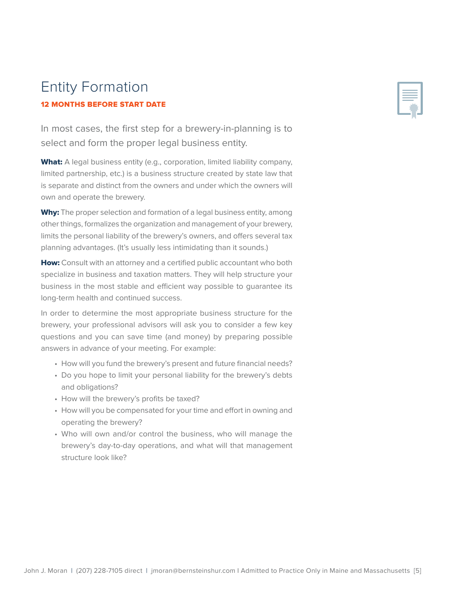## Entity Formation 12 MONTHS BEFORE START DATE

In most cases, the first step for a brewery-in-planning is to select and form the proper legal business entity.

What: A legal business entity (e.g., corporation, limited liability company, limited partnership, etc.) is a business structure created by state law that is separate and distinct from the owners and under which the owners will own and operate the brewery.

Why: The proper selection and formation of a legal business entity, among other things, formalizes the organization and management of your brewery, limits the personal liability of the brewery's owners, and offers several tax planning advantages. (It's usually less intimidating than it sounds.)

How: Consult with an attorney and a certified public accountant who both specialize in business and taxation matters. They will help structure your business in the most stable and efficient way possible to guarantee its long-term health and continued success.

In order to determine the most appropriate business structure for the brewery, your professional advisors will ask you to consider a few key questions and you can save time (and money) by preparing possible answers in advance of your meeting. For example:

- How will you fund the brewery's present and future financial needs?
- Do you hope to limit your personal liability for the brewery's debts and obligations?
- How will the brewery's profits be taxed?
- How will you be compensated for your time and effort in owning and operating the brewery?
- Who will own and/or control the business, who will manage the brewery's day-to-day operations, and what will that management structure look like?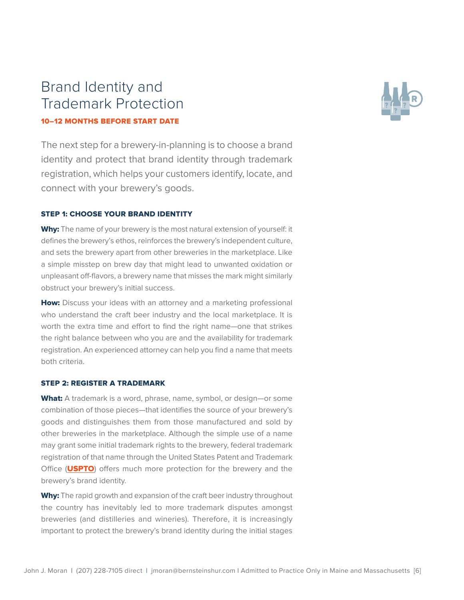## Brand Identity and Trademark Protection 10–12 MONTHS BEFORE START DATE

The next step for a brewery-in-planning is to choose a brand identity and protect that brand identity through trademark registration, which helps your customers identify, locate, and connect with your brewery's goods.

### STEP 1: CHOOSE YOUR BRAND IDENTITY

Why: The name of your brewery is the most natural extension of yourself: it defines the brewery's ethos, reinforces the brewery's independent culture, and sets the brewery apart from other breweries in the marketplace. Like a simple misstep on brew day that might lead to unwanted oxidation or unpleasant off-flavors, a brewery name that misses the mark might similarly obstruct your brewery's initial success.

How: Discuss your ideas with an attorney and a marketing professional who understand the craft beer industry and the local marketplace. It is worth the extra time and effort to find the right name—one that strikes the right balance between who you are and the availability for trademark registration. An experienced attorney can help you find a name that meets both criteria.

#### STEP 2: REGISTER A TRADEMARK

What: A trademark is a word, phrase, name, symbol, or design-or some combination of those pieces—that identifies the source of your brewery's goods and distinguishes them from those manufactured and sold by other breweries in the marketplace. Although the simple use of a name may grant some initial trademark rights to the brewery, federal trademark registration of that name through the United States Patent and Trademark Office (USPTO) offers much more protection for the brewery and the brewery's brand identity.

Why: The rapid growth and expansion of the craft beer industry throughout the country has inevitably led to more trademark disputes amongst breweries (and distilleries and wineries). Therefore, it is increasingly important to protect the brewery's brand identity during the initial stages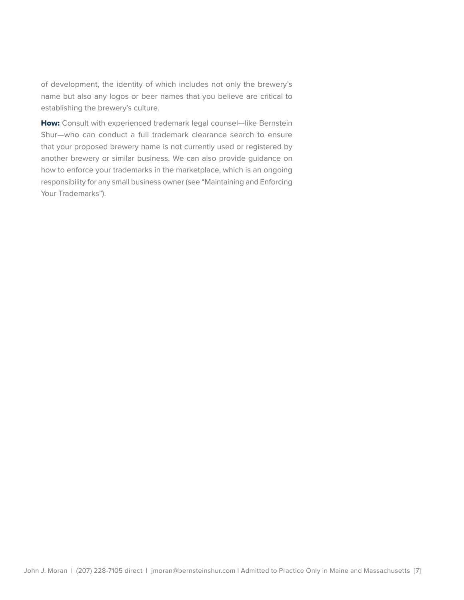of development, the identity of which includes not only the brewery's name but also any logos or beer names that you believe are critical to establishing the brewery's culture.

How: Consult with experienced trademark legal counsel-like Bernstein Shur—who can conduct a full trademark clearance search to ensure that your proposed brewery name is not currently used or registered by another brewery or similar business. We can also provide guidance on how to enforce your trademarks in the marketplace, which is an ongoing responsibility for any small business owner (see "Maintaining and Enforcing Your Trademarks").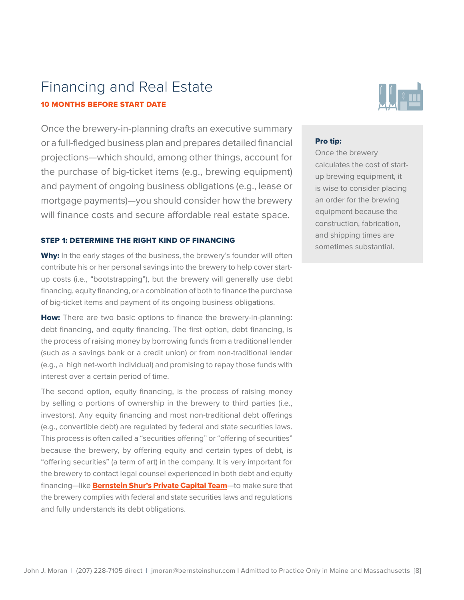## Financing and Real Estate 10 MONTHS BEFORE START DATE

Once the brewery-in-planning drafts an executive summary or a full-fledged business plan and prepares detailed financial projections—which should, among other things, account for the purchase of big-ticket items (e.g., brewing equipment) and payment of ongoing business obligations (e.g., lease or mortgage payments)—you should consider how the brewery will finance costs and secure affordable real estate space.

#### STEP 1: DETERMINE THE RIGHT KIND OF FINANCING

Why: In the early stages of the business, the brewery's founder will often contribute his or her personal savings into the brewery to help cover startup costs (i.e., "bootstrapping"), but the brewery will generally use debt financing, equity financing, or a combination of both to finance the purchase of big-ticket items and payment of its ongoing business obligations.

How: There are two basic options to finance the brewery-in-planning: debt financing, and equity financing. The first option, debt financing, is the process of raising money by borrowing funds from a traditional lender (such as a savings bank or a credit union) or from non-traditional lender (e.g., a high net-worth individual) and promising to repay those funds with interest over a certain period of time.

The second option, equity financing, is the process of raising money by selling o portions of ownership in the brewery to third parties (i.e., investors). Any equity financing and most non-traditional debt offerings (e.g., convertible debt) are regulated by federal and state securities laws. This process is often called a "securities offering" or "offering of securities" because the brewery, by offering equity and certain types of debt, is "offering securities" (a term of art) in the company. It is very important for the brewery to contact legal counsel experienced in both debt and equity financing—like **Bernstein Shur's Private Capital Team**—to make sure that the brewery complies with federal and state securities laws and regulations and fully understands its debt obligations.



#### Pro tip:

Once the brewery calculates the cost of startup brewing equipment, it is wise to consider placing an order for the brewing equipment because the construction, fabrication, and shipping times are sometimes substantial.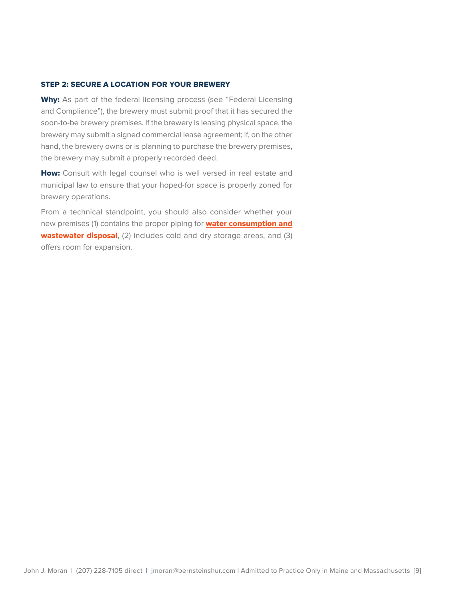#### STEP 2: SECURE A LOCATION FOR YOUR BREWERY

Why: As part of the federal licensing process (see "Federal Licensing and Compliance"), the brewery must submit proof that it has secured the soon-to-be brewery premises. If the brewery is leasing physical space, the brewery may submit a signed commercial lease agreement; if, on the other hand, the brewery owns or is planning to purchase the brewery premises, the brewery may submit a properly recorded deed.

How: Consult with legal counsel who is well versed in real estate and municipal law to ensure that your hoped-for space is properly zoned for brewery operations.

From a technical standpoint, you should also consider whether your new premises (1) contains the proper piping for **water consumption and** wastewater disposal, (2) includes cold and dry storage areas, and (3) offers room for expansion.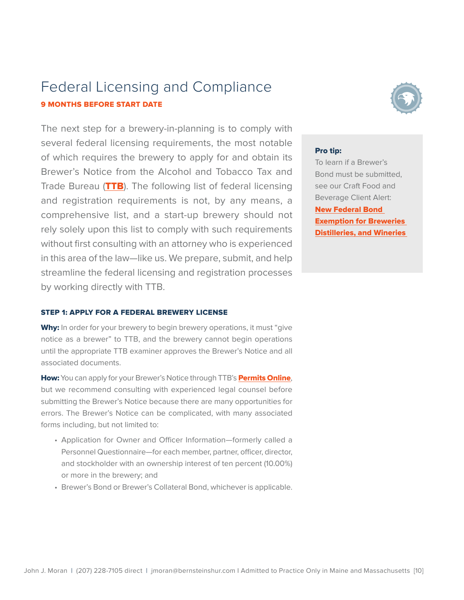## Federal Licensing and Compliance 9 MONTHS BEFORE START DATE

The next step for a brewery-in-planning is to comply with several federal licensing requirements, the most notable of which requires the brewery to apply for and obtain its Brewer's Notice from the Alcohol and Tobacco Tax and Trade Bureau (TTB). The following list of federal licensing and registration requirements is not, by any means, a comprehensive list, and a start-up brewery should not rely solely upon this list to comply with such requirements without first consulting with an attorney who is experienced in this area of the law—like us. We prepare, submit, and help streamline the federal licensing and registration processes by working directly with TTB.

#### STEP 1: APPLY FOR A FEDERAL BREWERY LICENSE

Why: In order for your brewery to begin brewery operations, it must "give notice as a brewer" to TTB, and the brewery cannot begin operations until the appropriate TTB examiner approves the Brewer's Notice and all associated documents.

How: You can apply for your Brewer's Notice through TTB's Permits Online, but we recommend consulting with experienced legal counsel before submitting the Brewer's Notice because there are many opportunities for errors. The Brewer's Notice can be complicated, with many associated forms including, but not limited to:

- Application for Owner and Officer Information—formerly called a Personnel Questionnaire—for each member, partner, officer, director, and stockholder with an ownership interest of ten percent (10.00%) or more in the brewery; and
- Brewer's Bond or Brewer's Collateral Bond, whichever is applicable.



### Pro tip:

To learn if a Brewer's Bond must be submitted, see our Craft Food and Beverage Client Alert: **New Federal Bond Exemption for Breweries** Distilleries, and Wineries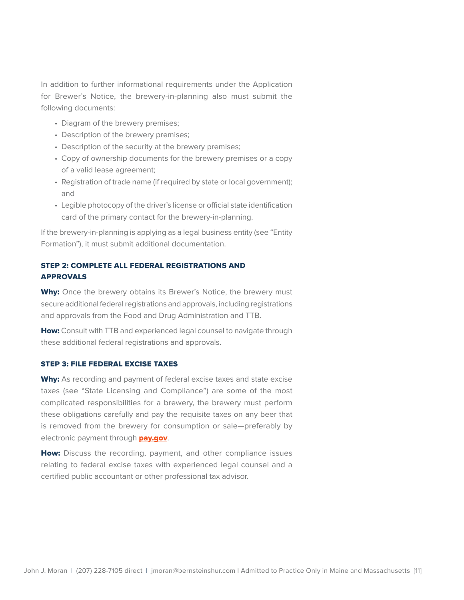In addition to further informational requirements under the Application for Brewer's Notice, the brewery-in-planning also must submit the following documents:

- Diagram of the brewery premises;
- Description of the brewery premises;
- Description of the security at the brewery premises;
- Copy of ownership documents for the brewery premises or a copy of a valid lease agreement;
- Registration of trade name (if required by state or local government); and
- Legible photocopy of the driver's license or official state identification card of the primary contact for the brewery-in-planning.

If the brewery-in-planning is applying as a legal business entity (see "Entity Formation"), it must submit additional documentation.

## STEP 2: COMPLETE ALL FEDERAL REGISTRATIONS AND APPROVALS

Why: Once the brewery obtains its Brewer's Notice, the brewery must secure additional federal registrations and approvals, including registrations and approvals from the Food and Drug Administration and TTB.

How: Consult with TTB and experienced legal counsel to navigate through these additional federal registrations and approvals.

#### STEP 3: FILE FEDERAL EXCISE TAXES

Why: As recording and payment of federal excise taxes and state excise taxes (see "State Licensing and Compliance") are some of the most complicated responsibilities for a brewery, the brewery must perform these obligations carefully and pay the requisite taxes on any beer that is removed from the brewery for consumption or sale—preferably by electronic payment through pay.gov.

How: Discuss the recording, payment, and other compliance issues relating to federal excise taxes with experienced legal counsel and a certified public accountant or other professional tax advisor.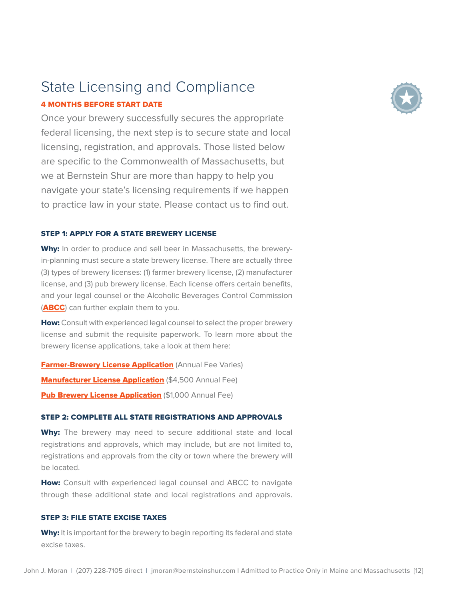

## State Licensing and Compliance 4 MONTHS BEFORE START DATE

Once your brewery successfully secures the appropriate federal licensing, the next step is to secure state and local licensing, registration, and approvals. Those listed below are specific to the Commonwealth of Massachusetts, but we at Bernstein Shur are more than happy to help you navigate your state's licensing requirements if we happen to practice law in your state. Please contact us to find out.

#### STEP 1: APPLY FOR A STATE BREWERY LICENSE

Why: In order to produce and sell beer in Massachusetts, the breweryin-planning must secure a state brewery license. There are actually three (3) types of brewery licenses: (1) farmer brewery license, (2) manufacturer license, and (3) pub brewery license. Each license offers certain benefits, and your legal counsel or the Alcoholic Beverages Control Commission (ABCC) can further explain them to you.

How: Consult with experienced legal counsel to select the proper brewery license and submit the requisite paperwork. To learn more about the brewery license applications, take a look at them here:

**Farmer-Brewery License Application (Annual Fee Varies) Manufacturer License Application (\$4,500 Annual Fee) Pub Brewery License Application (\$1,000 Annual Fee)** 

### STEP 2: COMPLETE ALL STATE REGISTRATIONS AND APPROVALS

Why: The brewery may need to secure additional state and local registrations and approvals, which may include, but are not limited to, registrations and approvals from the city or town where the brewery will be located.

How: Consult with experienced legal counsel and ABCC to navigate through these additional state and local registrations and approvals.

#### STEP 3: FILE STATE EXCISE TAXES

Why: It is important for the brewery to begin reporting its federal and state excise taxes.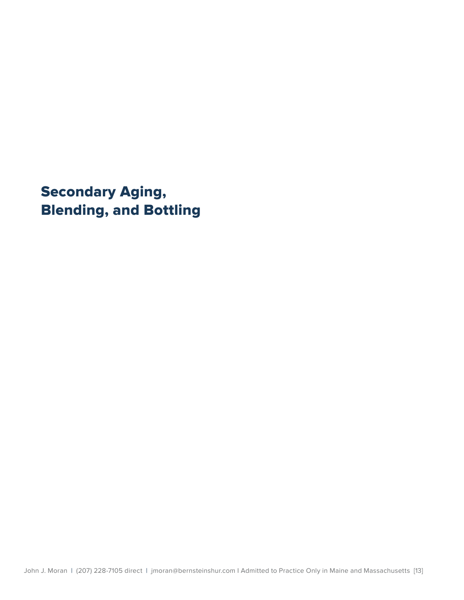Secondary Aging, Blending, and Bottling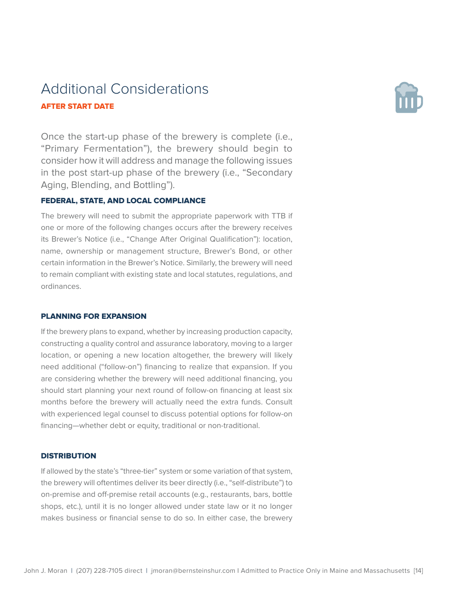## Additional Considerations AFTER START DATE



Once the start-up phase of the brewery is complete (i.e., "Primary Fermentation"), the brewery should begin to consider how it will address and manage the following issues in the post start-up phase of the brewery (i.e., "Secondary Aging, Blending, and Bottling").

## FEDERAL, STATE, AND LOCAL COMPLIANCE

The brewery will need to submit the appropriate paperwork with TTB if one or more of the following changes occurs after the brewery receives its Brewer's Notice (i.e., "Change After Original Qualification"): location, name, ownership or management structure, Brewer's Bond, or other certain information in the Brewer's Notice. Similarly, the brewery will need to remain compliant with existing state and local statutes, regulations, and ordinances.

#### PLANNING FOR EXPANSION

If the brewery plans to expand, whether by increasing production capacity, constructing a quality control and assurance laboratory, moving to a larger location, or opening a new location altogether, the brewery will likely need additional ("follow-on") financing to realize that expansion. If you are considering whether the brewery will need additional financing, you should start planning your next round of follow-on financing at least six months before the brewery will actually need the extra funds. Consult with experienced legal counsel to discuss potential options for follow-on financing—whether debt or equity, traditional or non-traditional.

#### **DISTRIBUTION**

If allowed by the state's "three-tier" system or some variation of that system, the brewery will oftentimes deliver its beer directly (i.e., "self-distribute") to on-premise and off-premise retail accounts (e.g., restaurants, bars, bottle shops, etc.), until it is no longer allowed under state law or it no longer makes business or financial sense to do so. In either case, the brewery